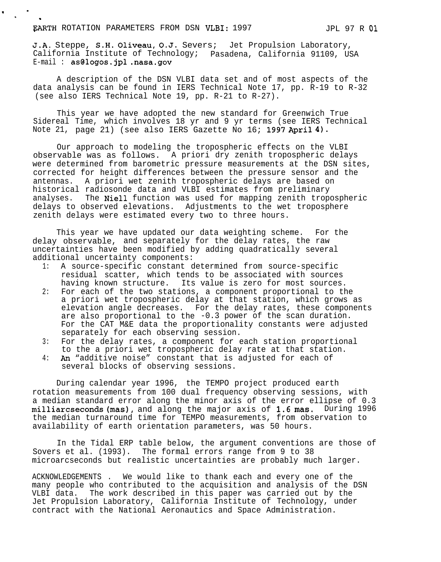## EARTH ROTATION PARAMETERS FROM DSN VLBI: 1997 MODEL 97 R 01

.

. .

.

J.A. Steppe, S.H. Oliveau, O.J. Severs; Jet Propulsion Laboratory, California Institute of Technology; Pasadena, California 91109, USA E-mail : as@logos.jpl .nasa.gov

A description of the DSN VLBI data set and of most aspects of the data analysis can be found in IERS Technical Note 17, pp. R-19 to R-32 (see also IERS Technical Note 19, pp. R-21 to R-27).

This year we have adopted the new standard for Greenwich True Sidereal Time, which involves 18 yr and 9 yr terms (see IERS Technical Note 21, page 21) (see also IERS Gazette No 16; 1997 April 4).

Our approach to modeling the tropospheric effects on the VLBI observable was as follows. A priori dry zenith tropospheric delays were determined from barometric pressure measurements at the DSN sites, corrected for height differences between the pressure sensor and the antennas. A priori wet zenith tropospheric delays are based on historical radiosonde data and VLBI estimates from preliminary analyses. The Niell function was used for mapping zenith tropospheric delays to observed elevations. Adjustments to the wet troposphere zenith delays were estimated every two to three hours.

This year we have updated our data weighting scheme. For the delay observable, and separately for the delay rates, the raw uncertainties have been modified by adding quadratically several additional uncertainty components:

- 1: A source-specific constant determined from source-specific residual scatter, which tends to be associated with sources having known structure. Its value is zero for most sources.
- 2: For each of the two stations, a component proportional to the a priori wet tropospheric delay at that station, which grows as elevation angle decreases. For the delay rates, these components are also proportional to the -0.3 power of the scan duration. For the CAT M&E data the proportionality constants were adjusted separately for each observing session.
- 3: For the delay rates, a component for each station proportional to the a priori wet tropospheric delay rate at that station.
- to the a priori wet tropospheric delay rate at that stationally that is adjusted for each of several blocks of observing sessions.

During calendar year 1996, the TEMPO project produced earth rotation measurements from 100 dual frequency observing sessions, with a median standard error along the minor axis of the error ellipse of 0.3 milliarcseconds (mas), and along the major axis of 1.6 mas. During 1996 the median turnaround time for TEMPO measurements, from observation to availability of earth orientation parameters, was 50 hours.

In the Tidal ERP table below, the argument conventions are those of Sovers et al. (1993). The formal errors range from 9 to 38 microarcseconds but realistic uncertainties are probably much larger.

ACKNOWLEDGEMENTS . We would like to thank each and every one of the many people who contributed to the acquisition and analysis of the DSN VLBI data. The work described in this paper was carried out by the Jet Propulsion Laboratory, California Institute of Technology, under contract with the National Aeronautics and Space Administration.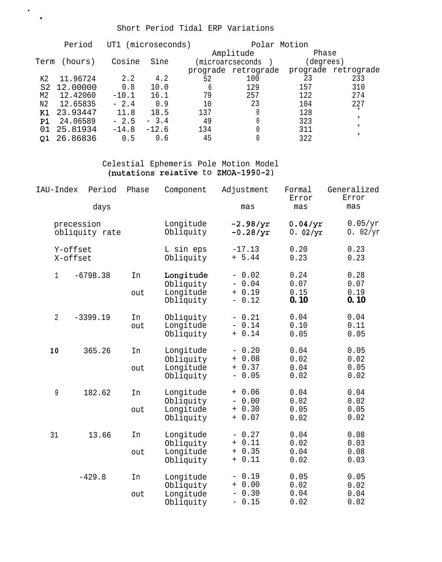## Short Period Tidal ERP Variations

. .

|                | Period   |         | UT1 (microseconds) |     | Polar Motion        |           |                     |  |
|----------------|----------|---------|--------------------|-----|---------------------|-----------|---------------------|--|
|                |          |         |                    |     | Amplitude           | Phase     |                     |  |
| Term           | (hours)  | Cosine  | Sine               |     | (microarcseconds    | (degrees) |                     |  |
|                |          |         |                    |     | prograde retrograde |           | prograde retrograde |  |
| K2             | 11.96724 | 2.2     | 4.2                | 52  | 100                 | 23        | 233                 |  |
| S <sub>2</sub> | 12.00000 | 0.8     | 10.0               | 6   | 129                 | 157       | 310                 |  |
| М2             | 12.42060 | $-10.1$ | 16.1               | 79  | 257                 | 122       | 274                 |  |
| N <sub>2</sub> | 12.65835 | $-2.4$  | 0.9                | 1 O | 23                  | 104       | 227                 |  |
| Κ1             | 23.93447 | 11.8    | 18.5               | 137 |                     | 128       |                     |  |
| P1             | 24.06589 | $-2.5$  | $-3.4$             | 49  |                     | 323       | $\star$             |  |
| 01             | 25.81934 | $-14.8$ | $-12.6$            | 134 |                     | 311       | $^\star$            |  |
| 01             | 26.86836 | 0.5     | 0.6                | 45  |                     | 322       | $^\star$            |  |

## Celestial Ephemeris Pole Motion Model (nutations relative to ZMOA-1990-2)

| IAU-Index      | Period                       | Phase     | Component                                        | Adjustment                                  | Formal<br>Error              | Generalized<br>Error         |
|----------------|------------------------------|-----------|--------------------------------------------------|---------------------------------------------|------------------------------|------------------------------|
| days           |                              |           |                                                  | mas                                         | mas                          | mas                          |
|                | precession<br>obliquity rate |           | Longitude<br>Obliquity                           | $-2.98/yr$<br>$-0.28/yr$                    | 0.04/yr<br>0.02/yr           | 0.05/yr<br>0. $02/yr$        |
|                | Y-offset<br>X-offset         |           | L sin eps<br>Obliquity                           | $-17.13$<br>$+ 5.44$                        | 0.20<br>0.23                 | 0.23<br>0.23                 |
| $\mathbf{1}$   | $-6798.38$                   | In<br>out | Longitude<br>Obliquity<br>Longitude<br>Obliquity | $-0.02$<br>$-0.04$<br>$+ 0.19$<br>$-0.12$   | 0.24<br>0.07<br>0.15<br>0.10 | 0.28<br>0.07<br>0.19<br>0.10 |
| $\overline{2}$ | $-3399.19$                   | In<br>out | Obliquity<br>Longitude<br>Obliquity              | $-0.21$<br>$-0.14$<br>$+ 0.14$              | 0.04<br>0.10<br>0.05         | 0.04<br>0.11<br>0.05         |
| 10             | 365.26                       | In<br>out | Longitude<br>Obliquity<br>Longitude<br>Obliquity | $-0.20$<br>$+ 0.08$<br>$+ 0.37$<br>$-0.05$  | 0.04<br>0.02<br>0.04<br>0.02 | 0.05<br>0.02<br>0.05<br>0.02 |
| 9              | 182.62                       | In<br>out | Longitude<br>Obliquity<br>Longitude<br>Obliquity | $+ 0.06$<br>$-0.00$<br>$+ 0.30$<br>$+ 0.07$ | 0.04<br>0.02<br>0.05<br>0.02 | 0.04<br>0.02<br>0.05<br>0.02 |
| 31             | 13.66                        | In<br>out | Longitude<br>Obliquity<br>Longitude<br>Obliquity | $-0.27$<br>$+ 0.11$<br>$+ 0.35$<br>$+ 0.11$ | 0.04<br>0.02<br>0.04<br>0.02 | 0.08<br>0.03<br>0.08<br>0.03 |
|                | $-429.8$                     | In<br>out | Longitude<br>Obliquity<br>Longitude<br>Obliquity | $-0.19$<br>$+ 0.00$<br>$-0.30$<br>$-0.15$   | 0.05<br>0.02<br>0.04<br>0.02 | 0.05<br>0.02<br>0.04<br>0.02 |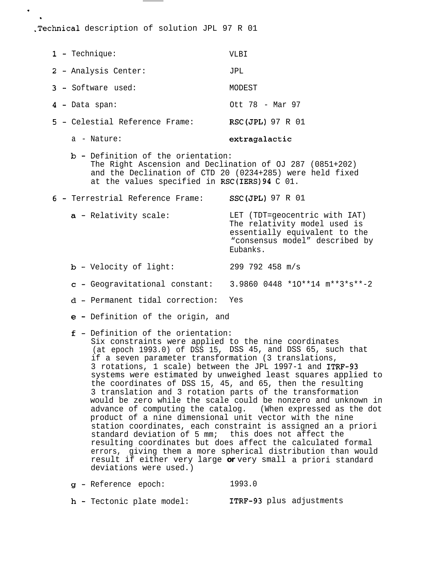.Technical description of solution JPL 97 R 01

- 1- Technique: VLBI 2- Analysis Center: JPL 3- Software used: MODEST 4 - Data span: 5 - Celestial Reference Frame: RSC(JPL) 97 R 01 Ott 78 - Mar 97
	- a Nature: extragalactic

. .

- b- Definition of the orientation: The Right Ascension and Declination of OJ 287 (0851+202) and the Declination of CTD 20 (0234+285) were held fixed at the values specified in RSC(IERS)94 C 01.
- 6- Terrestrial Reference Frame: SSC(JPL) 97 R 01
	- a Relativity scale: LET (TDT=geocentric with IAT) The relativity model used is essentially equivalent to the "consensus model" described by Eubanks.
	- b-Velocity of light: 299 792 458 m/s
	- c-Geogravitational constant: 3.9860 0448 \*1O\*\*14 m\*\*3\*s\*\*-2
	- d-Permanent tidal correction: Yes
	- e-Definition of the origin, and
	- f-Definition of the orientation:
		- Six constraints were applied to the nine coordinates (at epoch 1993.0) of DSS 15, DSS 45, and DSS 65, such that if a seven parameter transformation (3 translations, 3 rotations, 1 scale) between the JPL 1997-1 and ITRF-93 systems were estimated by unweighed least squares applied to the coordinates of DSS 15, 45, and 65, then the resulting 3 translation and 3 rotation parts of the transformation would be zero while the scale could be nonzero and unknown in advance of computing the catalog. (When expressed as the dot product of a nine dimensional unit vector with the nine station coordinates, each constraint is assigned an a priori standard deviation of 5 mm; this does not affect the resulting coordinates but does affect the calculated formal errors, giving them a more spherical distribution than would result if either very large **or** very small a priori standard deviations were used.)
	- 9- Reference epoch: 1993.0
	- h Tectonic plate model: ITRF-93 plus adjustments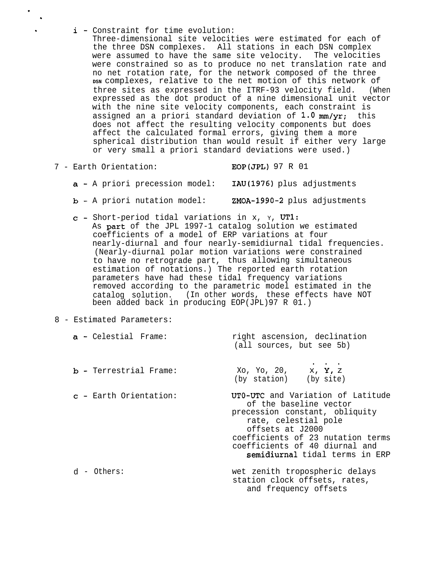i - Constraint for time evolution:

Three-dimensional site velocities were estimated for each of the three DSN complexes. All stations in each DSN complex were assumed to have the same site velocity. The velocities were constrained so as to produce no net translation rate and no net rotation rate, for the network composed of the three **DSN** complexes, relative to the net motion of this network of three sites as expressed in the ITRF-93 velocity field. (When expressed as the dot product of a nine dimensional unit vector with the nine site velocity components, each constraint is assigned an a priori standard deviation of 1.0 mm/yr; this does not affect the resulting velocity components but does affect the calculated formal errors, giving them a more spherical distribution than would result if either very large or very small a priori standard deviations were used.)

7 - Earth Orientation: EOP(JPL) 97 R 01

. .

- a A priori precession model: IAU(1976) plus adjustments
- b A priori nutation model: ZMOA-1990-2 plus adjustments
- c-Short-period tidal variations in x, Y, UT1: As park of the JPL 1997-1 catalog solution we estimated coefficients of a model of ERP variations at four nearly-diurnal and four nearly-semidiurnal tidal frequencies. (Nearly-diurnal polar motion variations were constrained to have no retrograde part, thus allowing simultaneous estimation of notations.) The reported earth rotation parameters have had these tidal frequency variations removed according to the parametric model estimated in the catalog solution. (In other words, these effects have NOT been added back in producing EOP(JPL)97 R 01.)
- 8 Estimated Parameters:

| <b>a</b> - Celestial Frame:   | right ascension, declination<br>(all sources, but see 5b)                                                                                                                                                                                          |
|-------------------------------|----------------------------------------------------------------------------------------------------------------------------------------------------------------------------------------------------------------------------------------------------|
| <b>b</b> - Terrestrial Frame: | Xo, Yo, 20, $x, Y, z$<br>(by station) (by site)                                                                                                                                                                                                    |
| $c$ - Earth Orientation:      | UTO-UTC and Variation of Latitude<br>of the baseline vector<br>precession constant, obliquity<br>rate, celestial pole<br>offsets at J2000<br>coefficients of 23 nutation terms<br>coefficients of 40 diurnal and<br>semidiurnal tidal terms in ERP |
| d - Others:                   | wet zenith tropospheric delays<br>station clock offsets, rates,<br>and frequency offsets                                                                                                                                                           |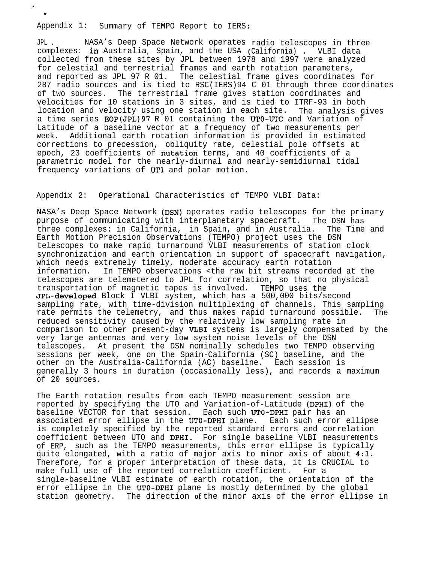Appendix 1: Summary of TEMPO Report to IERS:

. .

> JPL . NASA's Deep Space Network operates radio telescopes in three complexes: in Australia<sub>t</sub> Spain, and the USA (California) . VLBI data collected from these sites by JPL between 1978 and 1997 were analyzed for celestial and terrestrial frames and earth rotation parameters, and reported as JPL 97 R 01. The celestial frame gives coordinates for 287 radio sources and is tied to RSC(IERS)94 C 01 through three coordinates of two sources. The terrestrial frame gives station coordinates and velocities for 10 stations in 3 sites, and is tied to ITRF-93 in both location and velocity using one station in each site. The analysis gives a time series EOP(JPL) 97 R 01 containing the UTO-UTC and Variation of Latitude of a baseline vector at a frequency of two measurements per week. Additional earth rotation information is provided in estimated corrections to precession, obliquity rate, celestial pole offsets at epoch, 23 coefficients of nutation terms, and 40 coefficients of a parametric model for the nearly-diurnal and nearly-semidiurnal tidal frequency variations of UT1 and polar motion.

Appendix 2: Operational Characteristics of TEMPO VLBI Data:

NASA's Deep Space Network (DSN) operates radio telescopes for the primary purpose of communicating with interplanetary spacecraft. The DSN has three complexes: in California, in Spain, and in Australia. The Time and Earth Motion Precision Observations (TEMPO) project uses the DSN telescopes to make rapid turnaround VLBI measurements of station clock synchronization and earth orientation in support of spacecraft navigation, which needs extremely timely, moderate accuracy earth rotation information. In TEMPO observations <the raw bit streams recorded at the telescopes are telemetered to JPL for correlation, so that no physical transportation of magnetic tapes is involved. TEMPO uses the JPL-developed Block I VLBI system, which has a 500,000 bits/second sampling rate, with time-division multiplexing of channels. This sampling rate permits the telemetry, and thus makes rapid turnaround possible. The reduced sensitivity caused by the relatively low sampling rate in comparison to other present-day VLBI systems is largely compensated by the very large antennas and very low system noise levels of the DSN telescopes. At present the DSN nominally schedules two TEMPO observing sessions per week, one on the Spain-California (SC) baseline, and the other on the Australia-California (AC) baseline. Each session is generally 3 hours in duration (occasionally less), and records a maximum of 20 sources.

The Earth rotation results from each TEMPO measurement session are reported by specifying the UTO and Variation-of-Latitude (DPHI) of the baseline VECTOR for that session. Each such UTO-DPHI pair has an associated error ellipse in the UTO-DPHI plane. Each such error ellipse is completely specified by the reported standard errors and correlation coefficient between UTO and DPHI. For single baseline VLBI measurements of ERP, such as the TEMPO measurements, this error ellipse is typically quite elongated, with a ratio of major axis to minor axis of about 4:1. Therefore, for a proper interpretation of these data, it is CRUCIAL to make full use of the reported correlation coefficient. For a single-baseline VLBI estimate of earth rotation, the orientation of the error ellipse in the UTO-DPHI plane is mostly determined by the global station geometry. The direction **of** the minor axis of the error ellipse in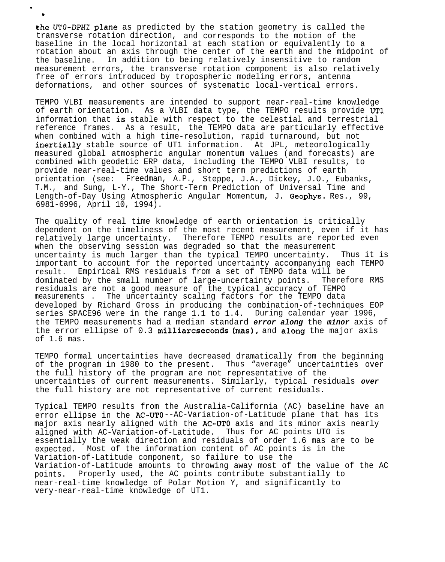&he UTO-DPHI plane as predicted by the station geometry is called the transverse rotation direction, and corresponds to the motion of the baseline in the local horizontal at each station or equivalently to a rotation about an axis through the center of the earth and the midpoint of the baseline. In addition to being relatively insensitive to random measurement errors, the transverse rotation component is also relatively free of errors introduced by tropospheric modeling errors, antenna deformations, and other sources of systematic local-vertical errors.

.

b

TEMPO VLBI measurements are intended to support near-real-time knowledge of earth orientation. As a VLBI data type, the TEMPO results provide UT1 information that is stable with respect to the celestial and terrestrial reference frames. As a result, the TEMPO data are particularly effective when combined with a high time-resolution, rapid turnaround, but not inertially stable source of UT1 information. At JPL, meteorologically measured global atmospheric angular momentum values (and forecasts) are combined with geodetic ERP data, including the TEMPO VLBI results, to provide near-real-time values and short term predictions of earth orientation (see: Freedman, A.P., Steppe, J.A., Dickey, J.O., Eubanks, T.M., and Sung, L-Y., The Short-Term Prediction of Universal Time and Length-of-Day Using Atmospheric Angular Momentum, J. Geophys. Res., 99, 6981-6996, April 10, 1994).

The quality of real time knowledge of earth orientation is critically dependent on the timeliness of the most recent measurement, even if it has relatively large uncertainty. Therefore TEMPO results are reported even when the observing session was degraded so that the measurement uncertainty is much larger than the typical TEMPO uncertainty. Thus it is important to account for the reported uncertainty accompanying each TEMPO result. Empirical RMS residuals from a set of TEMPO data will be dominated by the small number of large-uncertainty points. Therefore RMS residuals are not a good measure of the typical accuracy of TEMPO measurements . The uncertainty scaling factors for the TEMPO data developed by Richard Gross in producing the combination-of-techniques EOP series SPACE96 were in the range 1.1 to 1.4. During calendar year 1996, the TEMPO measurements had a median standard **error along** the **minor** axis of the error ellipse of 0.3 milliarcseconds  $(mas)$ , and along the major axis of 1.6 mas.

TEMPO formal uncertainties have decreased dramatically from the beginning of the program in 1980 to the present. Thus "average" uncertainties over the full history of the program are not representative of the uncertainties of current measurements. Similarly, typical residuals **over** the full history are not representative of current residuals.

Typical TEMPO results from the Australia-California (AC) baseline have an error ellipse in the AC-UTO--AC-Variation-of-Latitude plane that has its major axis nearly aligned with the AC-UTO axis and its minor axis nearly aligned with AC-Variation-of-Latitude. Thus for AC points UTO is essentially the weak direction and residuals of order 1.6 mas are to be expected. Most of the information content of AC points is in the Variation-of-Latitude component, so failure to use the Variation-of-Latitude amounts to throwing away most of the value of the AC points. Properly used, the AC points contribute substantially to near-real-time knowledge of Polar Motion Y, and significantly to very-near-real-time knowledge of UT1.